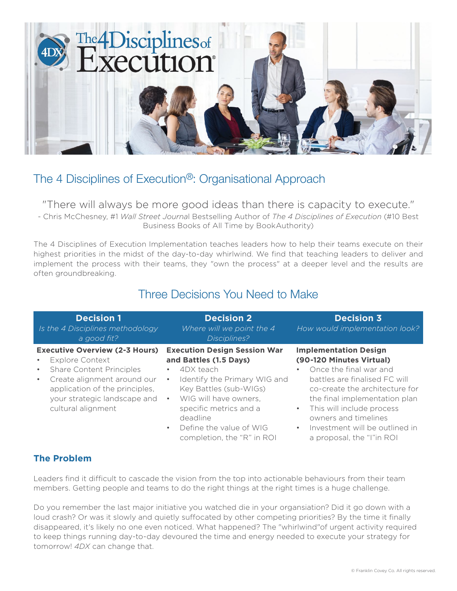

# The 4 Disciplines of Execution®: Organisational Approach

"There will always be more good ideas than there is capacity to execute."

- Chris McChesney, #1 *Wall Street Journa*l Bestselling Author of *The 4 Disciplines of Execution* (#10 Best Business Books of All Time by BookAuthority)

The 4 Disciplines of Execution Implementation teaches leaders how to help their teams execute on their highest priorities in the midst of the day-to-day whirlwind. We find that teaching leaders to deliver and implement the process with their teams, they "own the process" at a deeper level and the results are often groundbreaking.

## Three Decisions You Need to Make

| <b>Decision 1</b><br>Is the 4 Disciplines methodology<br>a good fit?                                                                                                                                                                                             | <b>Decision 2</b><br>Where will we point the 4<br>Disciplines?                                                                                                                                                                                                                                                   | <b>Decision 3</b><br>How would implementation look?                                                                                                                                                                                                                                                                                       |
|------------------------------------------------------------------------------------------------------------------------------------------------------------------------------------------------------------------------------------------------------------------|------------------------------------------------------------------------------------------------------------------------------------------------------------------------------------------------------------------------------------------------------------------------------------------------------------------|-------------------------------------------------------------------------------------------------------------------------------------------------------------------------------------------------------------------------------------------------------------------------------------------------------------------------------------------|
| <b>Executive Overview (2-3 Hours)</b><br><b>Explore Context</b><br>$\bullet$<br><b>Share Content Principles</b><br>$\bullet$<br>Create alignment around our<br>$\bullet$<br>application of the principles,<br>your strategic landscape and<br>cultural alignment | <b>Execution Design Session War</b><br>and Battles (1.5 Days)<br>4DX teach<br>$\bullet$<br>Identify the Primary WIG and<br>$\bullet$<br>Key Battles (sub-WIGs)<br>WIG will have owners.<br>$\bullet$<br>specific metrics and a<br>deadline<br>Define the value of WIG<br>$\bullet$<br>completion, the "R" in ROI | <b>Implementation Design</b><br>(90-120 Minutes Virtual)<br>Once the final war and<br>٠<br>battles are finalised FC will<br>co-create the architecture for<br>the final implementation plan<br>This will include process<br>$\bullet$<br>owners and timelines<br>Investment will be outlined in<br>$\bullet$<br>a proposal, the "I"in ROI |

## **The Problem**

Leaders find it difficult to cascade the vision from the top into actionable behaviours from their team members. Getting people and teams to do the right things at the right times is a huge challenge.

Do you remember the last major initiative you watched die in your organsiation? Did it go down with a loud crash? Or was it slowly and quietly suffocated by other competing priorities? By the time it finally disappeared, it's likely no one even noticed. What happened? The "whirlwind"of urgent activity required to keep things running day-to-day devoured the time and energy needed to execute your strategy for tomorrow! *4DX* can change that.